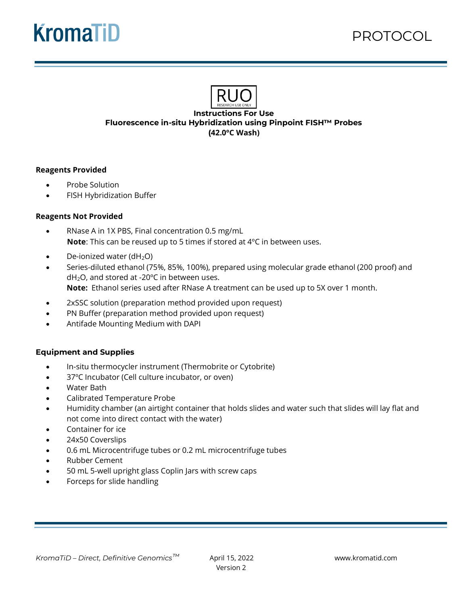

# **Instructions For Use Fluorescence in-situ Hybridization using Pinpoint FISH™ Probes (42.0ºC Wash)**

## **Reagents Provided**

- Probe Solution
- FISH Hybridization Buffer

## **Reagents Not Provided**

- RNase A in 1X PBS, Final concentration 0.5 mg/mL  **Note**: This can be reused up to 5 times if stored at 4ºC in between uses.
- De-ionized water  $(dH<sub>2</sub>O)$
- Series-diluted ethanol (75%, 85%, 100%), prepared using molecular grade ethanol (200 proof) and dH2O, and stored at -20ºC in between uses.
	- **Note:** Ethanol series used after RNase A treatment can be used up to 5X over 1 month.
- 2xSSC solution (preparation method provided upon request)
- PN Buffer (preparation method provided upon request)
- Antifade Mounting Medium with DAPI

# **Equipment and Supplies**

- In-situ thermocycler instrument (Thermobrite or Cytobrite)
- 37ºC Incubator (Cell culture incubator, or oven)
- Water Bath
- Calibrated Temperature Probe
- Humidity chamber (an airtight container that holds slides and water such that slides will lay flat and not come into direct contact with the water)
- Container for ice
- 24x50 Coverslips
- 0.6 mL Microcentrifuge tubes or 0.2 mL microcentrifuge tubes
- Rubber Cement
- 50 mL 5-well upright glass Coplin Jars with screw caps
- Forceps for slide handling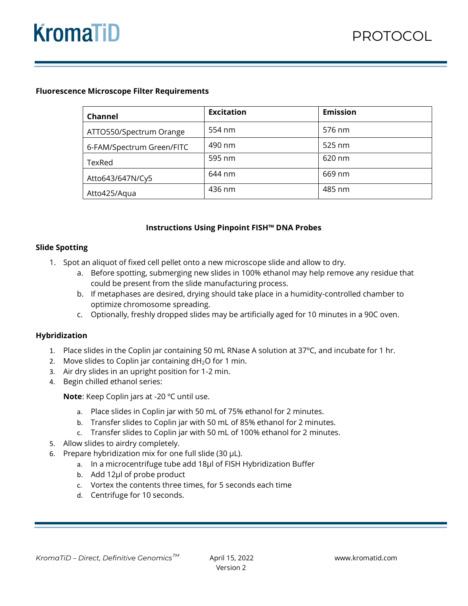## **Fluorescence Microscope Filter Requirements**

| <b>Channel</b>            | <b>Excitation</b> | <b>Emission</b> |
|---------------------------|-------------------|-----------------|
| ATTO550/Spectrum Orange   | 554 nm            | 576 nm          |
| 6-FAM/Spectrum Green/FITC | 490 nm            | 525 nm          |
| TexRed                    | 595 nm            | 620 nm          |
| Atto643/647N/Cy5          | 644 nm            | 669 nm          |
| Atto425/Aqua              | 436 nm            | 485 nm          |

#### **Instructions Using Pinpoint FISH™ DNA Probes**

#### **Slide Spotting**

- 1. Spot an aliquot of fixed cell pellet onto a new microscope slide and allow to dry.
	- a. Before spotting, submerging new slides in 100% ethanol may help remove any residue that could be present from the slide manufacturing process.
	- b. If metaphases are desired, drying should take place in a humidity-controlled chamber to optimize chromosome spreading.
	- c. Optionally, freshly dropped slides may be artificially aged for 10 minutes in a 90C oven.

#### **Hybridization**

- 1. Place slides in the Coplin jar containing 50 mL RNase A solution at 37ºC, and incubate for 1 hr.
- 2. Move slides to Coplin jar containing  $dH_2O$  for 1 min.
- 3. Air dry slides in an upright position for 1-2 min.
- 4. Begin chilled ethanol series:

**Note**: Keep Coplin jars at -20 ºC until use.

- a. Place slides in Coplin jar with 50 mL of 75% ethanol for 2 minutes.
- b. Transfer slides to Coplin jar with 50 mL of 85% ethanol for 2 minutes.
- c. Transfer slides to Coplin jar with 50 mL of 100% ethanol for 2 minutes.
- 5. Allow slides to airdry completely.
- 6. Prepare hybridization mix for one full slide (30 μL).
	- a. In a microcentrifuge tube add 18µl of FISH Hybridization Buffer
	- b. Add 12µl of probe product
	- c. Vortex the contents three times, for 5 seconds each time
	- d. Centrifuge for 10 seconds.